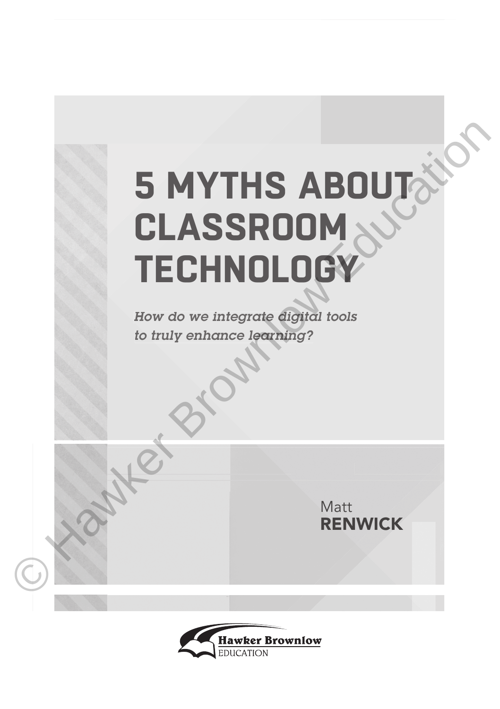## **5 MYTHS ABOUT CLASSROOM TECHNOLOGY S MYTHS ABOUT AND CLASSROOM**

*How do we integrate digital tools to truly enhance learning?*



Matt

**RENWICK**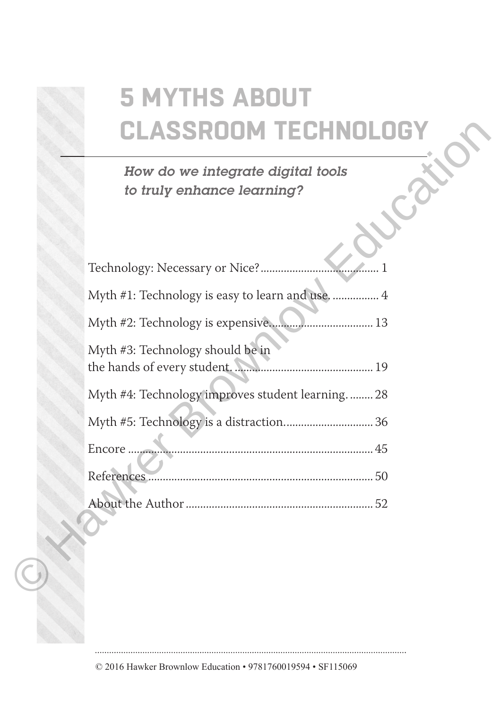## **5 MYTHS ABOUT CLASSROOM TECHNOLOGY**

| <b>CLASSROOM TECHNOLOG</b>                                      |
|-----------------------------------------------------------------|
| How do we integrate digital tools<br>to truly enhance learning? |
| Technology: Necessary or Nice?                                  |
| Myth #1: Technology is easy to learn and use.  4                |
|                                                                 |
| Myth #3: Technology should be in                                |
| Myth #4: Technology improves student learning 28                |
| Myth #5: Technology is a distraction 36                         |
| Encore                                                          |
|                                                                 |
|                                                                 |
|                                                                 |

© 2016 Hawker Brownlow Education • 9781760019594 • SF115069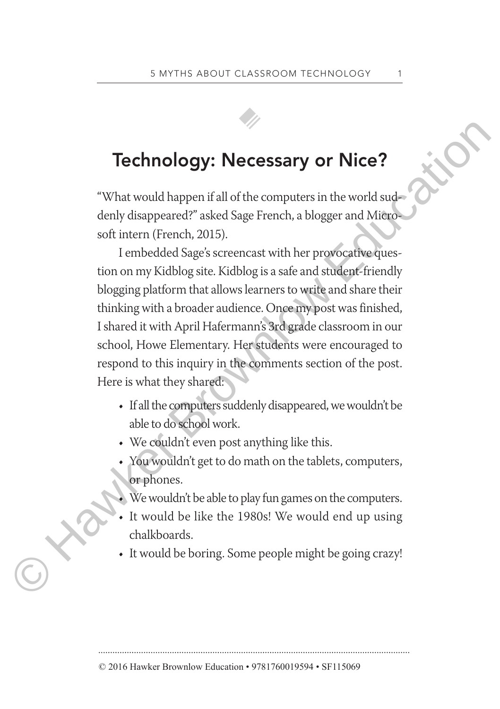

## **Technology: Necessary or Nice?**

"What would happen if all of the computers in the world suddenly disappeared?" asked Sage French, a blogger and Microsoft intern (French, 2015).

I embedded Sage's screencast with her provocative question on my Kidblog site. Kidblog is a safe and student-friendly blogging platform that allows learners to write and share their thinking with a broader audience. Once my post was finished, I shared it with April Hafermann's 3rd grade classroom in our school, Howe Elementary. Her students were encouraged to respond to this inquiry in the comments section of the post. Here is what they shared: Technology: Necessary or Nice?<br>
"What would happen if all of the computers in the world sud-<br>
denly disappeared?" asked Sage French, a blogger and Microsoft<br>
soft intern (French, 2015).<br>
I embedded Sage's screencast with h

- If all the computers suddenly disappeared, we wouldn't be able to do school work.
- We couldn't even post anything like this.
- You wouldn't get to do math on the tablets, computers, or phones.
- We wouldn't be able to play fun games on the computers.
- It would be like the 1980s! We would end up using chalkboards.
- It would be boring. Some people might be going crazy!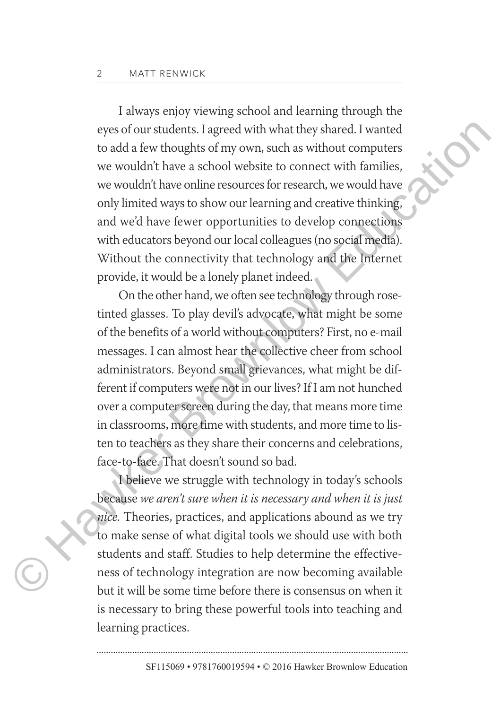I always enjoy viewing school and learning through the eyes of our students. I agreed with what they shared. I wanted to add a few thoughts of my own, such as without computers we wouldn't have a school website to connect with families, we wouldn't have online resources for research, we would have only limited ways to show our learning and creative thinking, and we'd have fewer opportunities to develop connections with educators beyond our local colleagues (no social media). Without the connectivity that technology and the Internet provide, it would be a lonely planet indeed.

On the other hand, we often see technology through rosetinted glasses. To play devil's advocate, what might be some of the benefits of a world without computers? First, no e-mail messages. I can almost hear the collective cheer from school administrators. Beyond small grievances, what might be different if computers were not in our lives? If I am not hunched over a computer screen during the day, that means more time in classrooms, more time with students, and more time to listen to teachers as they share their concerns and celebrations, face-to-face. That doesn't sound so bad. eyes of our students. I agreed with what they shared. I wanted<br>
to add n few thoughts for frown, such as without computers<br>
we wouldn't have a school website to connect with families,<br>
we wouldn't have a school website to

I believe we struggle with technology in today's schools because *we aren't sure when it is necessary and when it is just nice.* Theories, practices, and applications abound as we try to make sense of what digital tools we should use with both students and staff. Studies to help determine the effectiveness of technology integration are now becoming available but it will be some time before there is consensus on when it is necessary to bring these powerful tools into teaching and learning practices.